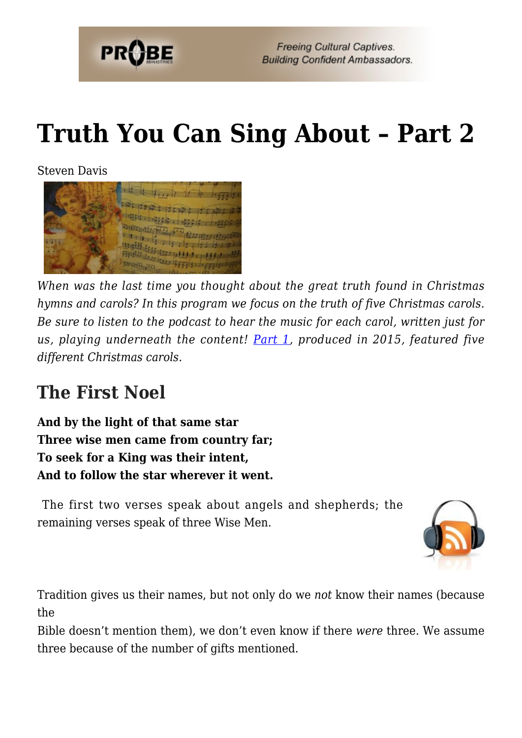

# **[Truth You Can Sing About – Part 2](https://probe.org/truth-you-can-sing-about-part-2/)**

Steven Davis



*When was the last time you thought about the great truth found in Christmas hymns and carols? In this program we focus on the truth of five Christmas carols. Be sure to listen to the podcast to hear the music for each carol, written just for us, playing underneath the content! [Part 1](https://www.probe.org/truth-you-can-sing-about-5-christmas-carols/), produced in 2015, featured five different Christmas carols.*

## **The First Noel**

**And by the light of that same star Three wise men came from country far; To seek for a King was their intent, And to follow the star wherever it went.**

 The first two verses speak about angels and shepherds; the remaining verses speak of three Wise Men.



Tradition gives us their names, but not only do we *not* know their names (because the

Bible doesn't mention them), we don't even know if there *were* three. We assume three because of the number of gifts mentioned.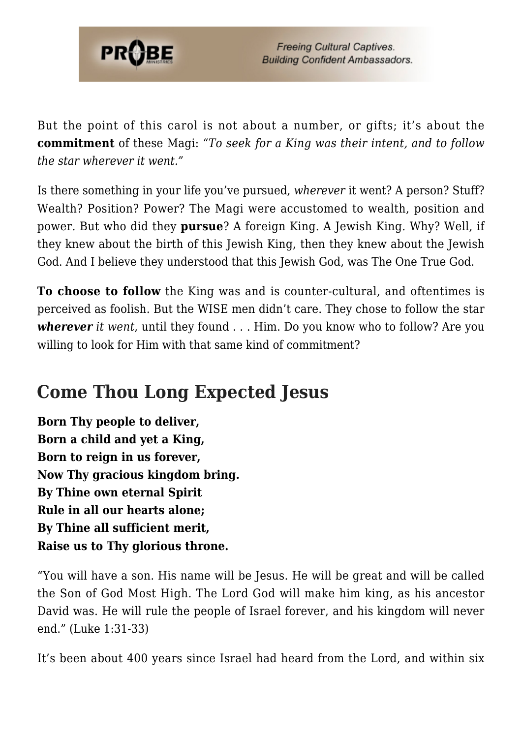

But the point of this carol is not about a number, or gifts; it's about the **commitment** of these Magi: "*To seek for a King was their intent, and to follow the star wherever it went."*

Is there something in your life you've pursued, *wherever* it went? A person? Stuff? Wealth? Position? Power? The Magi were accustomed to wealth, position and power. But who did they **pursue**? A foreign King. A Jewish King. Why? Well, if they knew about the birth of this Jewish King, then they knew about the Jewish God. And I believe they understood that this Jewish God, was The One True God.

**To choose to follow** the King was and is counter-cultural, and oftentimes is perceived as foolish. But the WISE men didn't care. They chose to follow the star *wherever it went*, until they found . . . Him. Do you know who to follow? Are you willing to look for Him with that same kind of commitment?

## **Come Thou Long Expected Jesus**

**Born Thy people to deliver, Born a child and yet a King, Born to reign in us forever, Now Thy gracious kingdom bring. By Thine own eternal Spirit Rule in all our hearts alone; By Thine all sufficient merit, Raise us to Thy glorious throne.**

"You will have a son. His name will be Jesus. He will be great and will be called the Son of God Most High. The Lord God will make him king, as his ancestor David was. He will rule the people of Israel forever, and his kingdom will never end." (Luke 1:31-33)

It's been about 400 years since Israel had heard from the Lord, and within six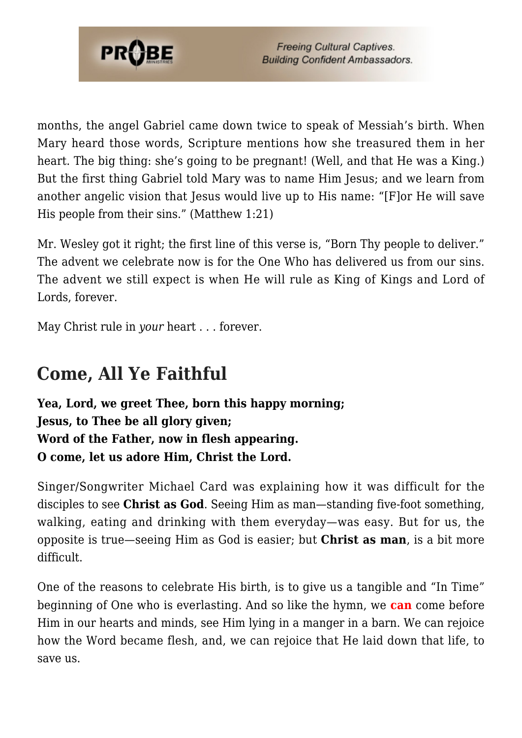

months, the angel Gabriel came down twice to speak of Messiah's birth. When Mary heard those words, Scripture mentions how she treasured them in her heart. The big thing: she's going to be pregnant! (Well, and that He was a King.) But the first thing Gabriel told Mary was to name Him Jesus; and we learn from another angelic vision that Jesus would live up to His name: "[F]or He will save His people from their sins." (Matthew 1:21)

Mr. Wesley got it right; the first line of this verse is, "Born Thy people to deliver." The advent we celebrate now is for the One Who has delivered us from our sins. The advent we still expect is when He will rule as King of Kings and Lord of Lords, forever.

May Christ rule in *your* heart . . . forever.

#### **Come, All Ye Faithful**

**Yea, Lord, we greet Thee, born this happy morning; Jesus, to Thee be all glory given; Word of the Father, now in flesh appearing. O come, let us adore Him, Christ the Lord.**

Singer/Songwriter Michael Card was explaining how it was difficult for the disciples to see **Christ as God**. Seeing Him as man—standing five-foot something, walking, eating and drinking with them everyday—was easy. But for us, the opposite is true—seeing Him as God is easier; but **Christ as man**, is a bit more difficult.

One of the reasons to celebrate His birth, is to give us a tangible and "In Time" beginning of One who is everlasting. And so like the hymn, we **can** come before Him in our hearts and minds, see Him lying in a manger in a barn. We can rejoice how the Word became flesh, and, we can rejoice that He laid down that life, to save us.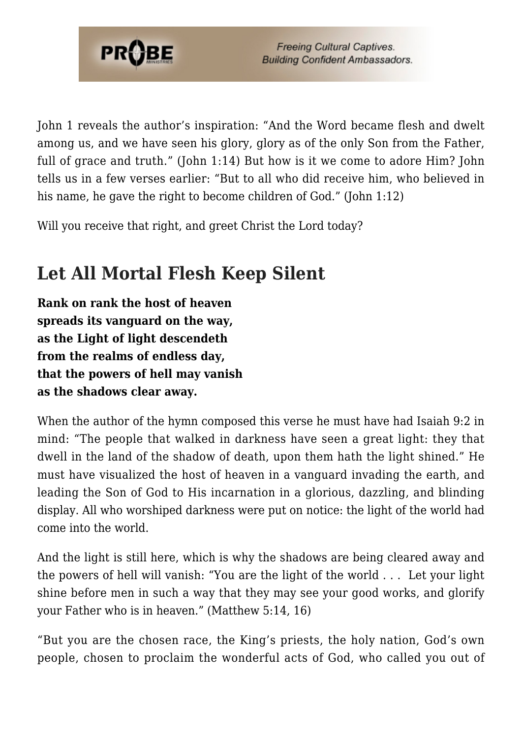

John 1 reveals the author's inspiration: "And the Word became flesh and dwelt among us, and we have seen his glory, glory as of the only Son from the Father, full of grace and truth." (John 1:14) But how is it we come to adore Him? John tells us in a few verses earlier: "But to all who did receive him, who believed in his name, he gave the right to become children of God." (John  $1:12$ )

Will you receive that right, and greet Christ the Lord today?

# **Let All Mortal Flesh Keep Silent**

**Rank on rank the host of heaven spreads its vanguard on the way, as the Light of light descendeth from the realms of endless day, that the powers of hell may vanish as the shadows clear away.**

When the author of the hymn composed this verse he must have had Isaiah 9:2 in mind: "The people that walked in darkness have seen a great light: they that dwell in the land of the shadow of death, upon them hath the light shined." He must have visualized the host of heaven in a vanguard invading the earth, and leading the Son of God to His incarnation in a glorious, dazzling, and blinding display. All who worshiped darkness were put on notice: the light of the world had come into the world.

And the light is still here, which is why the shadows are being cleared away and the powers of hell will vanish: "You are the light of the world . . . Let your light shine before men in such a way that they may see your good works, and glorify your Father who is in heaven." (Matthew 5:14, 16)

"But you are the chosen race, the King's priests, the holy nation, God's own people, chosen to proclaim the wonderful acts of God, who called you out of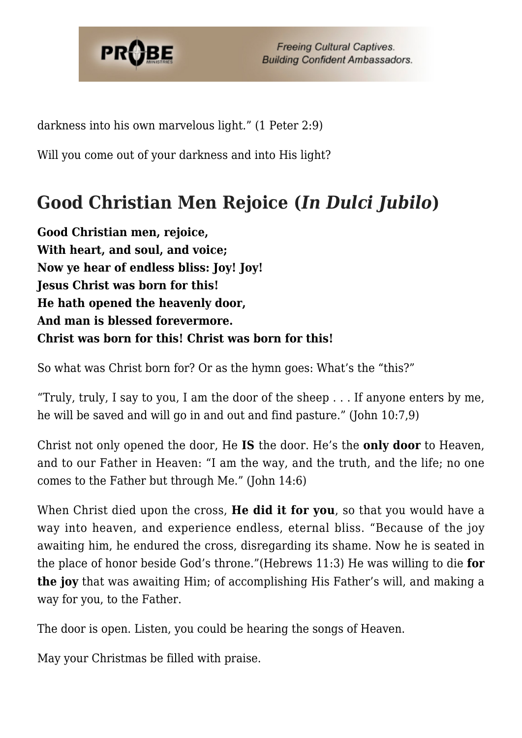

**Freeing Cultural Captives. Building Confident Ambassadors.** 

darkness into his own marvelous light." (1 Peter 2:9)

Will you come out of your darkness and into His light?

# **Good Christian Men Rejoice (***In Dulci Jubilo***)**

**Good Christian men, rejoice, With heart, and soul, and voice; Now ye hear of endless bliss: Joy! Joy! Jesus Christ was born for this! He hath opened the heavenly door, And man is blessed forevermore. Christ was born for this! Christ was born for this!**

So what was Christ born for? Or as the hymn goes: What's the "this?"

"Truly, truly, I say to you, I am the door of the sheep  $\ldots$  If anyone enters by me, he will be saved and will go in and out and find pasture." (John 10:7,9)

Christ not only opened the door, He **IS** the door. He's the **only door** to Heaven, and to our Father in Heaven: "I am the way, and the truth, and the life; no one comes to the Father but through Me." (John 14:6)

When Christ died upon the cross, **He did it for you**, so that you would have a way into heaven, and experience endless, eternal bliss. "Because of the joy awaiting him, he endured the cross, disregarding its shame. Now he is seated in the place of honor beside God's throne."(Hebrews 11:3) He was willing to die **for the joy** that was awaiting Him; of accomplishing His Father's will, and making a way for you, to the Father.

The door is open. Listen, you could be hearing the songs of Heaven.

May your Christmas be filled with praise.